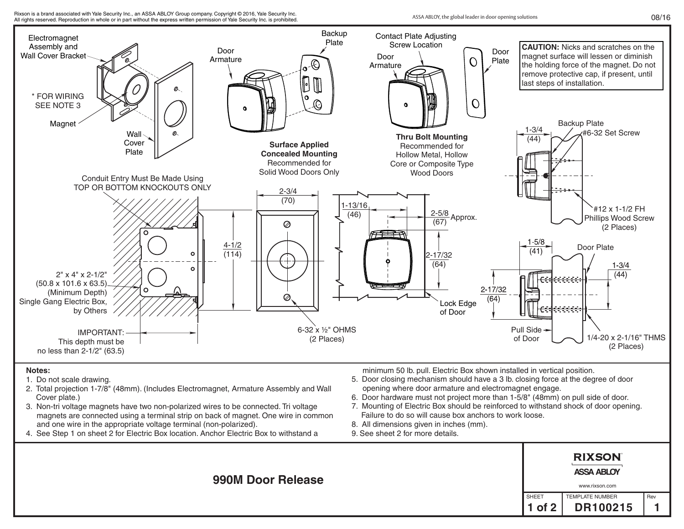

## **Notes:**

- 1. Do not scale drawing.
- 2. Total projection 1-7/8" (48mm). (Includes Electromagnet, Armature Assembly and Wall Cover plate.)
- 3. Non-tri voltage magnets have two non-polarized wires to be connected. Tri voltage magnets are connected using a terminal strip on back of magnet. One wire in common and one wire in the appropriate voltage terminal (non-polarized).
- 4. See Step 1 on sheet 2 for Electric Box location. Anchor Electric Box to withstand a

minimum 50 lb. pull. Electric Box shown installed in vertical position.

- 5. Door closing mechanism should have a 3 lb. closing force at the degree of door opening where door armature and electromagnet engage.
- 6. Door hardware must not project more than 1-5/8" (48mm) on pull side of door.
- 7. Mounting of Electric Box should be reinforced to withstand shock of door opening. Failure to do so will cause box anchors to work loose.
- 8. All dimensions given in inches (mm).
- 9. See sheet 2 for more details.